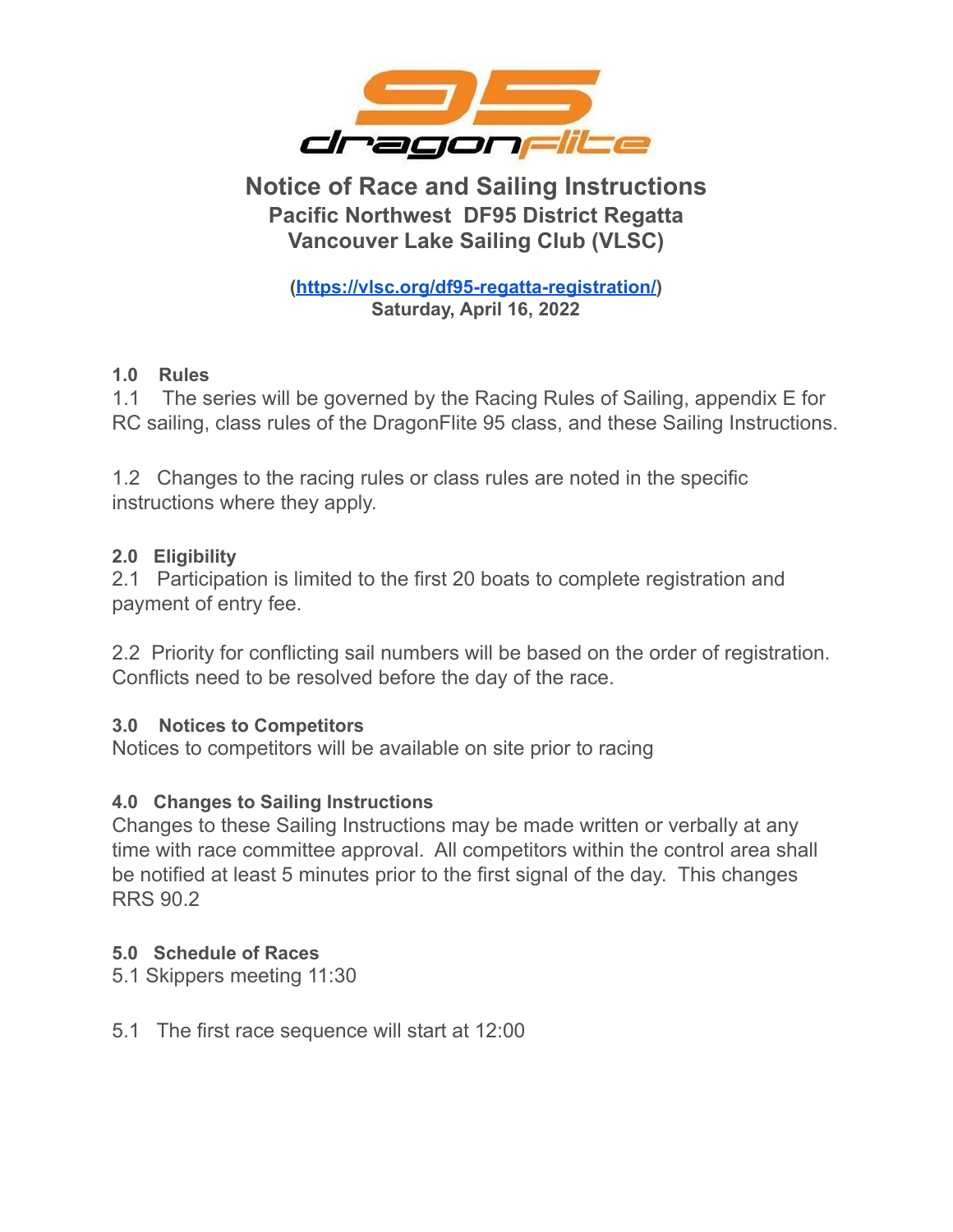

# **Notice of Race and Sailing Instructions Pacific Northwest DF95 District Regatta Vancouver Lake Sailing Club (VLSC)**

**[\(https://vlsc.org/df95-regatta-registration/\)](https://vlsc.org/df95-regatta-registration/) Saturday, April 16, 2022**

# **1.0 Rules**

1.1 The series will be governed by the Racing Rules of Sailing, appendix E for RC sailing, class rules of the DragonFlite 95 class, and these Sailing Instructions.

1.2 Changes to the racing rules or class rules are noted in the specific instructions where they apply.

# **2.0 Eligibility**

2.1 Participation is limited to the first 20 boats to complete registration and payment of entry fee.

2.2 Priority for conflicting sail numbers will be based on the order of registration. Conflicts need to be resolved before the day of the race.

# **3.0 Notices to Competitors**

Notices to competitors will be available on site prior to racing

# **4.0 Changes to Sailing Instructions**

Changes to these Sailing Instructions may be made written or verbally at any time with race committee approval. All competitors within the control area shall be notified at least 5 minutes prior to the first signal of the day. This changes RRS 90.2

# **5.0 Schedule of Races**

- 5.1 Skippers meeting 11:30
- 5.1 The first race sequence will start at 12:00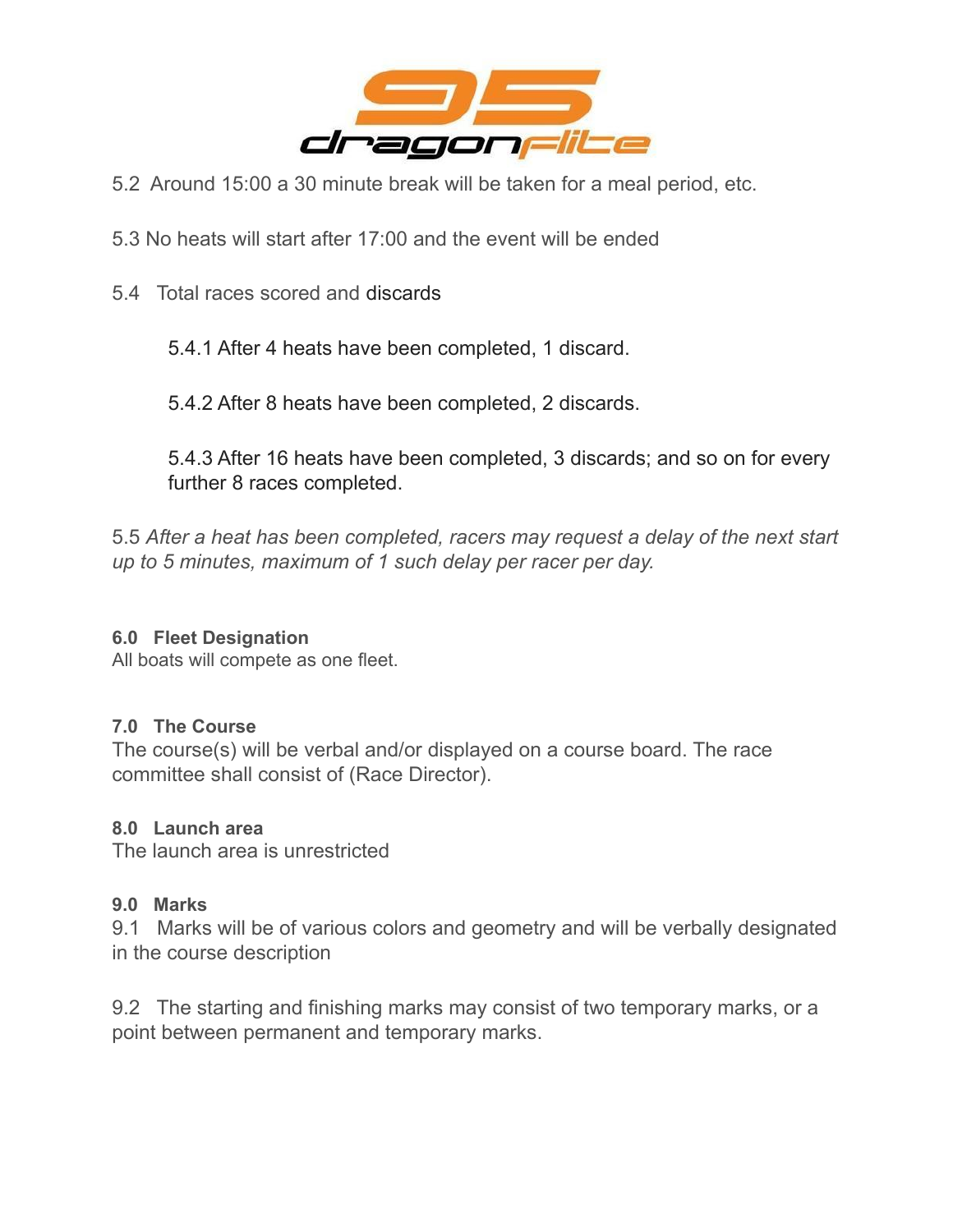

- 5.2 Around 15:00 a 30 minute break will be taken for a meal period, etc.
- 5.3 No heats will start after 17:00 and the event will be ended
- 5.4 Total races scored and discards

5.4.1 After 4 heats have been completed, 1 discard.

5.4.2 After 8 heats have been completed, 2 discards.

5.4.3 After 16 heats have been completed, 3 discards; and so on for every further 8 races completed.

5.5 *After a heat has been completed, racers may request a delay of the next start up to 5 minutes, maximum of 1 such delay per racer per day.*

#### **6.0 Fleet Designation**

All boats will compete as one fleet.

#### **7.0 The Course**

The course(s) will be verbal and/or displayed on a course board. The race committee shall consist of (Race Director).

#### **8.0 Launch area**

The launch area is unrestricted

#### **9.0 Marks**

9.1 Marks will be of various colors and geometry and will be verbally designated in the course description

9.2 The starting and finishing marks may consist of two temporary marks, or a point between permanent and temporary marks.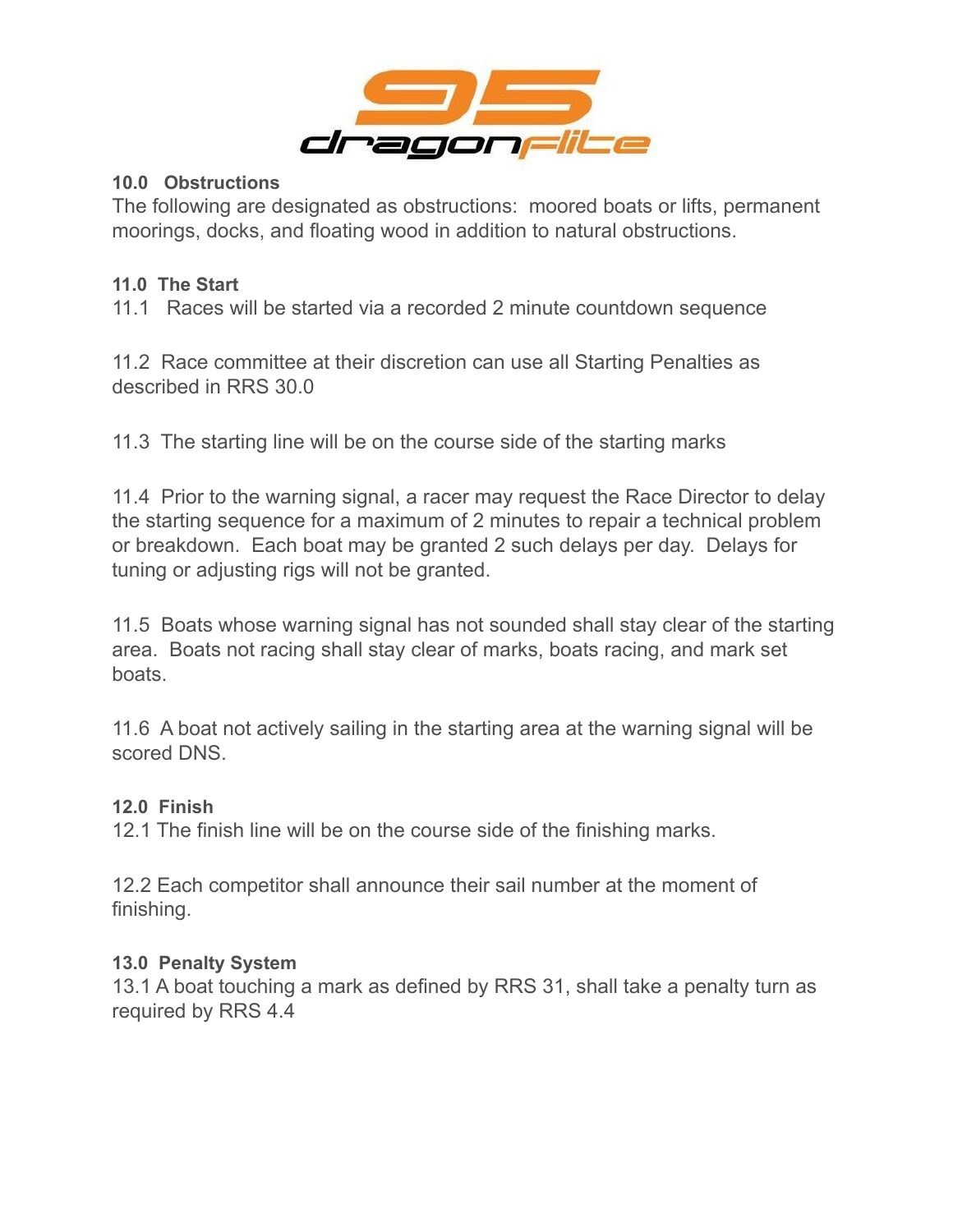

### **10.0 Obstructions**

The following are designated as obstructions: moored boats or lifts, permanent moorings, docks, and floating wood in addition to natural obstructions.

# **11.0 The Start**

11.1 Races will be started via a recorded 2 minute countdown sequence

11.2 Race committee at their discretion can use all Starting Penalties as described in RRS 30.0

11.3 The starting line will be on the course side of the starting marks

11.4 Prior to the warning signal, a racer may request the Race Director to delay the starting sequence for a maximum of 2 minutes to repair a technical problem or breakdown. Each boat may be granted 2 such delays per day. Delays for tuning or adjusting rigs will not be granted.

11.5 Boats whose warning signal has not sounded shall stay clear of the starting area. Boats not racing shall stay clear of marks, boats racing, and mark set boats.

11.6 A boat not actively sailing in the starting area at the warning signal will be scored DNS.

# **12.0 Finish**

12.1 The finish line will be on the course side of the finishing marks.

12.2 Each competitor shall announce their sail number at the moment of finishing.

# **13.0 Penalty System**

13.1 A boat touching a mark as defined by RRS 31, shall take a penalty turn as required by RRS 4.4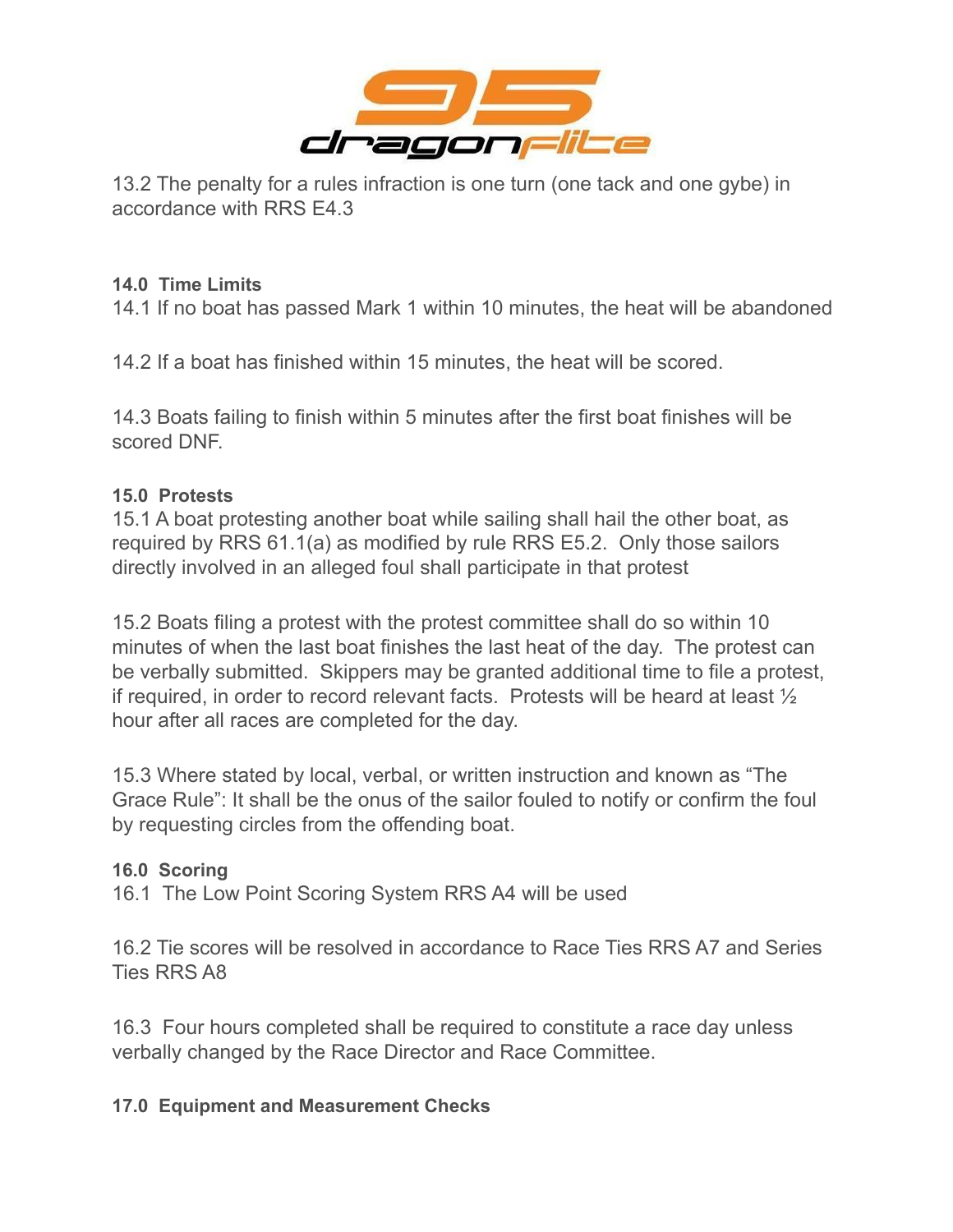

13.2 The penalty for a rules infraction is one turn (one tack and one gybe) in accordance with RRS E4.3

## **14.0 Time Limits**

14.1 If no boat has passed Mark 1 within 10 minutes, the heat will be abandoned

14.2 If a boat has finished within 15 minutes, the heat will be scored.

14.3 Boats failing to finish within 5 minutes after the first boat finishes will be scored DNF.

# **15.0 Protests**

15.1 A boat protesting another boat while sailing shall hail the other boat, as required by RRS 61.1(a) as modified by rule RRS E5.2. Only those sailors directly involved in an alleged foul shall participate in that protest

15.2 Boats filing a protest with the protest committee shall do so within 10 minutes of when the last boat finishes the last heat of the day. The protest can be verbally submitted. Skippers may be granted additional time to file a protest, if required, in order to record relevant facts. Protests will be heard at least ½ hour after all races are completed for the day.

15.3 Where stated by local, verbal, or written instruction and known as "The Grace Rule": It shall be the onus of the sailor fouled to notify or confirm the foul by requesting circles from the offending boat.

# **16.0 Scoring**

16.1 The Low Point Scoring System RRS A4 will be used

16.2 Tie scores will be resolved in accordance to Race Ties RRS A7 and Series Ties RRS A8

16.3 Four hours completed shall be required to constitute a race day unless verbally changed by the Race Director and Race Committee.

# **17.0 Equipment and Measurement Checks**